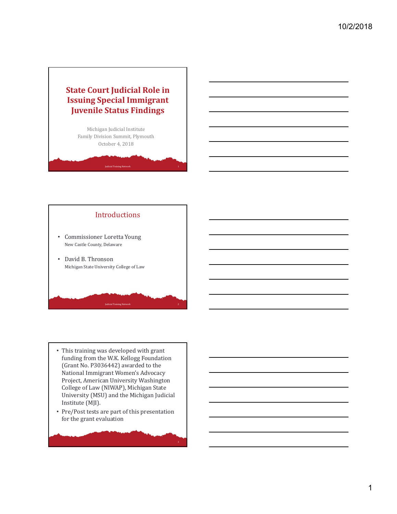# **State Court Judicial Role in Issuing Special Immigrant Juvenile Status Findings**

Michigan Judicial Institute Family Division Summit, Plymouth October 4, 2018

Judicial Training Network 1

# Introductions • Commissioner Loretta Young New Castle County, Delaware • David B. Thronson Michigan State University College of Law

• This training was developed with grant funding from the W.K. Kellogg Foundation (Grant No. P3036442) awarded to the National Immigrant Women's Advocacy Project, American University Washington College of Law (NIWAP), Michigan State University (MSU) and the Michigan Judicial Institute (MJI).

Judicial Training Network 2

• Pre/Post tests are part of this presentation for the grant evaluation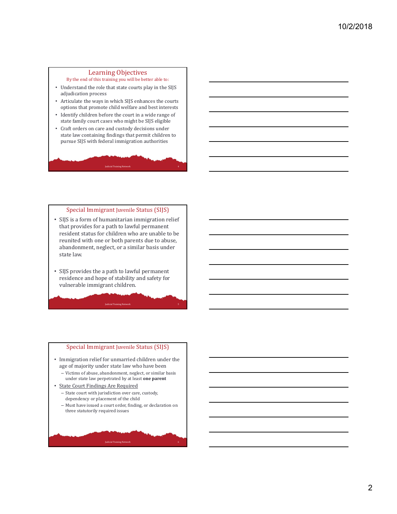#### Learning Objectives

By the end of this training you will be better able to:

- Understand the role that state courts play in the SIJS adjudication process
- Articulate the ways in which SIJS enhances the courts options that promote child welfare and best interests
- Identify children before the court in a wide range of state family court cases who might be SIJS eligible
- Craft orders on care and custody decisions under state law containing findings that permit children to pursue SIJS with federal immigration authorities

Judicial Training Network 4

#### Special Immigrant Juvenile Status (SIJS)

- SIJS is a form of humanitarian immigration relief that provides for a path to lawful permanent resident status for children who are unable to be reunited with one or both parents due to abuse, abandonment, neglect, or a similar basis under state law.
- SIJS provides the a path to lawful permanent residence and hope of stability and safety for vulnerable immigrant children.

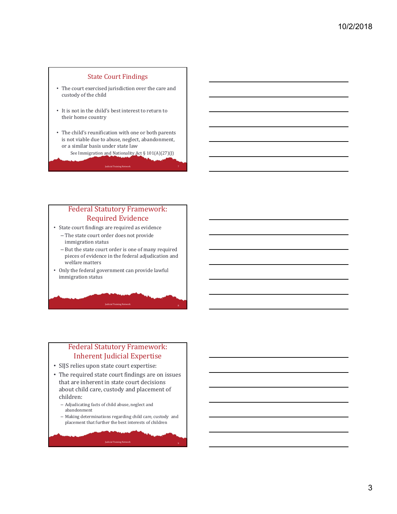#### State Court Findings

- The court exercised jurisdiction over the care and custody of the child
- It is not in the child's best interest to return to their home country
- The child's reunification with one or both parents is not viable due to abuse, neglect, abandonment, or a similar basis under state law
	- See Immigration and Nationality Act § 101(A)(27)(J)

Judicial Training Network 7

### Federal Statutory Framework: Required Evidence

- State court findings are required as evidence
	- The state court order does not provide immigration status
	- But the state court order is one of many required pieces of evidence in the federal adjudication and welfare matters
- Only the federal government can provide lawful immigration status

### Federal Statutory Framework: Inherent Judicial Expertise

**Judicial Training Network** 

- SIJS relies upon state court expertise:
- The required state court findings are on issues that are inherent in state court decisions about child care, custody and placement of children:
	- Adjudicating facts of child abuse, neglect and abandonment
	- Making determinations regarding child care, custody and placement that further the best interests of children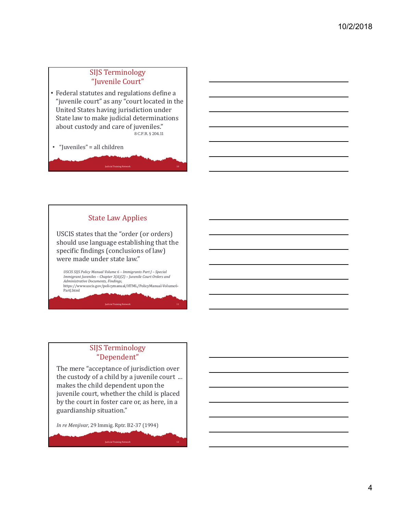## SIJS Terminology "Juvenile Court"

• Federal statutes and regulations define a "juvenile court" as any "court located in the United States having jurisdiction under State law to make judicial determinations about custody and care of juveniles." 8 C.F.R. § 204.11

Judicial Training Network 10

• "Juveniles" = all children



### SIJS Terminology "Dependent"

**Judicial Training Network** 

The mere "acceptance of jurisdiction over the custody of a child by a juvenile court ... makes the child dependent upon the juvenile court, whether the child is placed by the court in foster care or, as here, in a guardianship situation."

**Judicial Training Network** 

*In re Menjivar*, 29 Immig. Rptr. B2-37 (1994)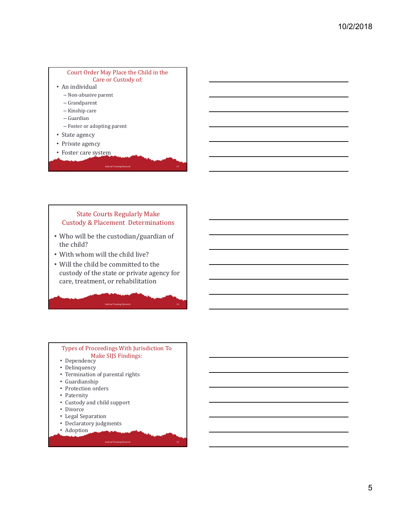

#### State Courts Regularly Make Custody & Placement Determinations

- Who will be the custodian/guardian of the child?
- With whom will the child live?
- Will the child be committed to the custody of the state or private agency for care, treatment, or rehabilitation

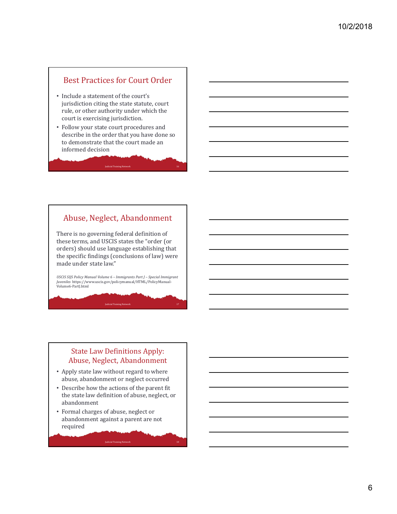# Best Practices for Court Order

- Include a statement of the court's jurisdiction citing the state statute, court rule, or other authority under which the court is exercising jurisdiction.
- Follow your state court procedures and describe in the order that you have done so to demonstrate that the court made an informed decision

Judicial Training Network 16

### Abuse, Neglect, Abandonment

There is no governing federal definition of these terms, and USCIS states the "order (or orders) should use language establishing that the specific findings (conclusions of law) were made under state law."

*USCIS SIJS Policy Manual Volume 6 – Immigrants Part J – Special Immigrant Juveniles* https://www.uscis.gov/policymanual/HTML/PolicyManual-Volume6-PartJ.html

**Judicial Training Network** 

### State Law Definitions Apply: Abuse, Neglect, Abandonment

- Apply state law without regard to where abuse, abandonment or neglect occurred
- Describe how the actions of the parent fit the state law definition of abuse, neglect, or abandonment

Judicial Training Network 18

• Formal charges of abuse, neglect or abandonment against a parent are not required

6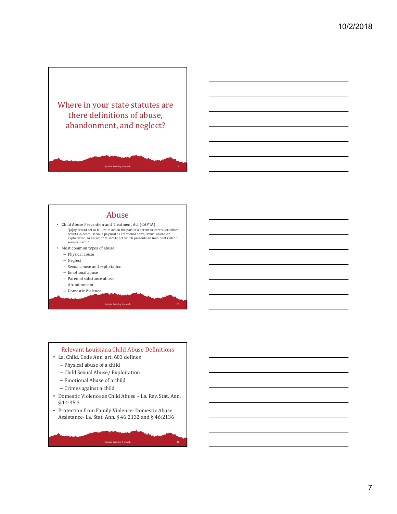



#### Abuse

- Child Abuse Prevention and Treatment Act (CAPTA)
- "[a]ny recent act or failure to act on the part of a parent or caretaker, which results in death, serious physical or emotional harm, sexual abuse, or exploitation, or an act or failure to act which presents an imminent risk of serious harm." • Most common types of abuse:

**Judicial Training Network** 

- Physical abuse
- Neglect
- Sexual abuse and exploitation
- Emotional abuse
- Parental substance abuse
- Abandonment
- Domestic Violence

# Relevant Louisiana Child Abuse Definitions • La. Child. Code Ann. art. 603 defines – Physical abuse of a child – Child Sexual Abuse/ Exploitation – Emotional Abuse of a child – Crimes against a child • Domestic Violence as Child Abuse – La. Rev. Stat. Ann. § 14:35.3 • Protection from Family Violence- Domestic Abuse Assistance- La. Stat. Ann. § 46:2132 and § 46:2136 Judicial Training Network 21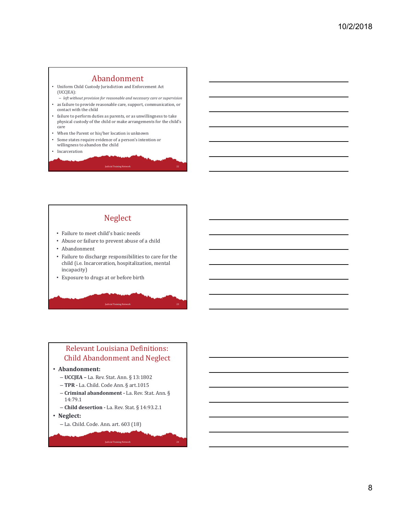#### Abandonment

- Uniform Child Custody Jurisdiction and Enforcement Act (UCCJEA):
- *left without provision for reasonable and necessary care or supervision* • as failure to provide reasonable care, support, communication, or
- contact with the child • failure to perform duties as parents, or as unwillingness to take
- physical custody of the child or make arrangements for the child's care

Judicial Training Network 22

Judicial Training Network 23

- When the Parent or his/her location is unknown
- Some states require evidence of a person's intention or willingness to abandon the child
- **Incarceration**

# Neglect

- Failure to meet child's basic needs
- Abuse or failure to prevent abuse of a child
- Abandonment
- Failure to discharge responsibilities to care for the child (i.e. Incarceration, hospitalization, mental incapacity)
- Exposure to drugs at or before birth

### Relevant Louisiana Definitions: Child Abandonment and Neglect

#### • **Abandonment:**

- **UCCJEA –** La. Rev. Stat. Ann. § 13:1802
- **TPR ‐** La. Child. Code Ann. § art.1015
- **Criminal abandonment ‐** La. Rev. Stat. Ann. § 14:79.1

Judicial Training Network 24

- **Child desertion ‐** La. Rev. Stat. § 14:93.2.1
- **Neglect:**

– La. Child. Code. Ann. art. 603 (18)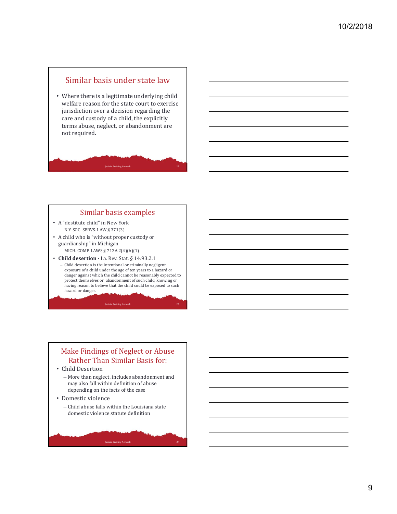# Similar basis under state law

• Where there is a legitimate underlying child welfare reason for the state court to exercise jurisdiction over a decision regarding the care and custody of a child, the explicitly terms abuse, neglect, or abandonment are not required.

#### Similar basis examples

Judicial Training Network 25

- A "destitute child" in New York – N.Y. SOC. SERVS. LAW § 371(3)
- A child who is "without proper custody or guardianship" in Michigan
	- MICH. COMP. LAWS § 712A.2(4)(b)(1)
- **Child desertion ‐** La. Rev. Stat. § 14:93.2.1
	- Child desertion is the intentional or criminally negligent exposure of a child under the age of ten years to a hazard or danger against which the child cannot be reasonably expected to protect themselves or abandonment of such child, knowing or having reason to believe that the child could be exposed to such hazard or danger.

**Judicial Training Network** 

# Make Findings of Neglect or Abuse Rather Than Similar Basis for: • Child Desertion – More than neglect, includes abandonment and may also fall within definition of abuse depending on the facts of the case • Domestic violence – Child abuse falls within the Louisiana state domestic violence statute definition Judicial Training Network 27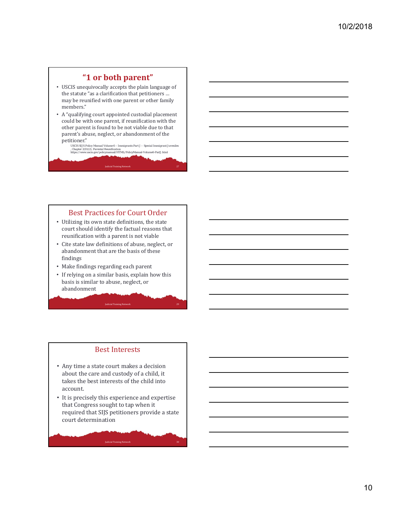# **"1 or both parent"**

- USCIS unequivocally accepts the plain language of the statute "as a clarification that petitioners … may be reunified with one parent or other family members."
- A "qualifying court appointed custodial placement could be with one parent, if reunification with the other parent is found to be not viable due to that parent's abuse, neglect, or abandonment of the petitioner."

*USCIS SIJS Policy Manual Volume 6 – Immigrants Part J – Special Immigrant Juveniles , Chapter 2(D)(2), Parental Reunification* https://www.uscis.gov/policymanual/HTML/PolicyManual-Volume6-PartJ.html

Judicial Training Network 27

#### Best Practices for Court Order

- Utilizing its own state definitions, the state court should identify the factual reasons that reunification with a parent is not viable
- Cite state law definitions of abuse, neglect, or abandonment that are the basis of these findings
- Make findings regarding each parent
- If relying on a similar basis, explain how this basis is similar to abuse, neglect, or abandonment

**Judicial Training Network** 

#### Best Interests

- Any time a state court makes a decision about the care and custody of a child, it takes the best interests of the child into account.
- It is precisely this experience and expertise that Congress sought to tap when it required that SIJS petitioners provide a state court determination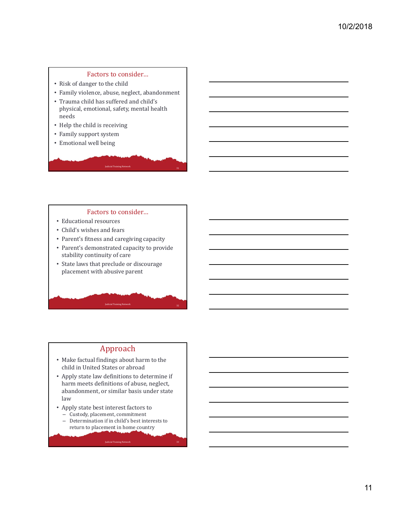### Factors to consider…

- Risk of danger to the child
- Family violence, abuse, neglect, abandonment
- Trauma child has suffered and child's physical, emotional, safety, mental health needs
- Help the child is receiving
- Family support system
- Emotional well being

#### Factors to consider…

Judicial Training Network <sup>31</sup>

- Educational resources
- Child's wishes and fears
- Parent's fitness and caregiving capacity
- Parent's demonstrated capacity to provide stability continuity of care
- State laws that preclude or discourage placement with abusive parent

#### Approach

**Judicial Training Network** 

- Make factual findings about harm to the child in United States or abroad
- Apply state law definitions to determine if harm meets definitions of abuse, neglect, abandonment, or similar basis under state law
- Apply state best interest factors to – Custody, placement, commitment
	- Determination if in child's best interests to return to placement in home country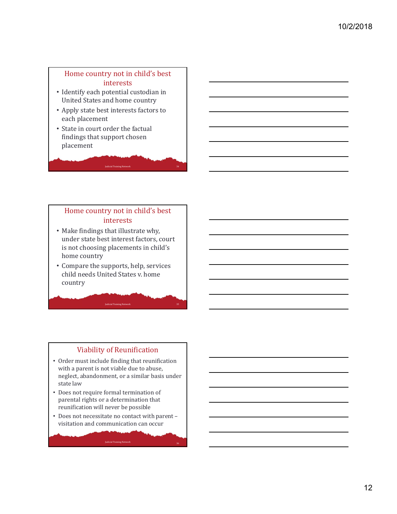### Home country not in child's best interests

- Identify each potential custodian in United States and home country
- Apply state best interests factors to each placement
- State in court order the factual findings that support chosen placement

### Home country not in child's best interests

Judicial Training Network 34

- Make findings that illustrate why, under state best interest factors, court is not choosing placements in child's home country
- Compare the supports, help, services child needs United States v. home country

**Judicial Training Network** 

# Viability of Reunification

- Order must include finding that reunification with a parent is not viable due to abuse, neglect, abandonment, or a similar basis under state law
- Does not require formal termination of parental rights or a determination that reunification will never be possible
- Does not necessitate no contact with parent visitation and communication can occur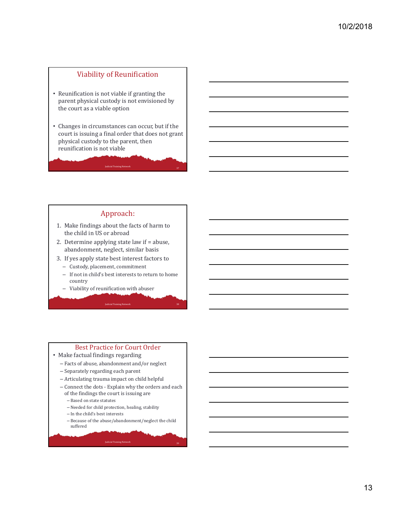#### Viability of Reunification

- Reunification is not viable if granting the parent physical custody is not envisioned by the court as a viable option
- Changes in circumstances can occur, but if the court is issuing a final order that does not grant physical custody to the parent, then reunification is not viable

Judicial Training Network <sup>37</sup>

#### Approach:

- 1. Make findings about the facts of harm to the child in US or abroad
- 2. Determine applying state law if = abuse, abandonment, neglect, similar basis
- 3. If yes apply state best interest factors to

**Judicial Training Net** 

- Custody, placement, commitment
- If not in child's best interests to return to home country
- Viability of reunification with abuser

#### Best Practice for Court Order

- Make factual findings regarding
	- Facts of abuse, abandonment and/or neglect
	- Separately regarding each parent
	- Articulating trauma impact on child helpful
	- Connect the dots Explain why the orders and each of the findings the court is issuing are
		- Based on state statutes
		- Needed for child protection, healing, stability
		- In the child's best interests
		- Because of the abuse/abandonment/neglect the child suffered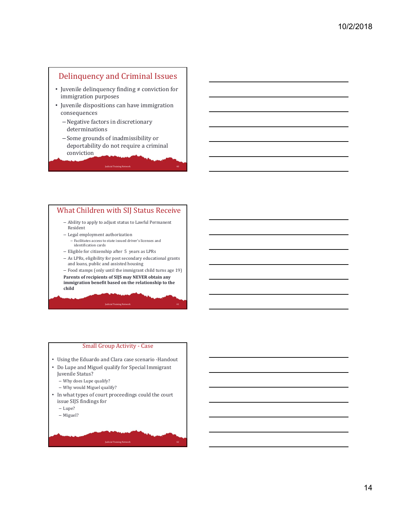# Delinquency and Criminal Issues

- Juvenile delinquency finding ≠ conviction for immigration purposes
- Juvenile dispositions can have immigration consequences
	- –Negative factors in discretionary determinations
	- Some grounds of inadmissibility or deportability do not require a criminal conviction

### What Children with SIJ Status Receive

Judicial Training Network 40

- Ability to apply to adjust status to Lawful Permanent Resident
- Legal employment authorization – Facilitates access to state issued driver's licenses and identification cards
- Eligible for citizenship after 5 years as LPRs
- As LPRs, eligibility for post secondary educational grants and loans, public and assisted housing

– Food stamps (only until the immigrant child turns age 19) **Parents of recipients of SIJS may NEVER obtain any immigration benefit based on the relationship to the child**

**Judicial Training Network** 

### Small Group Activity - Case

- Using the Eduardo and Clara case scenario -Handout
- Do Lupe and Miguel qualify for Special Immigrant Juvenile Status?
	- Why does Lupe qualify?
	- Why would Miguel qualify?
- In what types of court proceedings could the court issue SIJS findings for

- Lupe?
- Miguel?